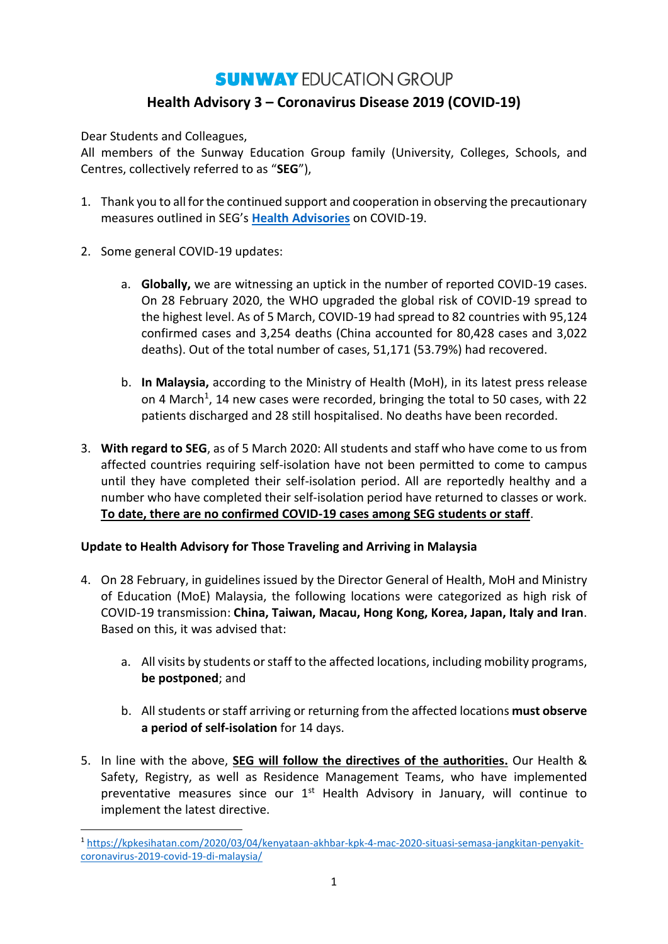# **SUNWAY EDUCATION GROUP Health Advisory 3 – Coronavirus Disease 2019 (COVID-19)**

Dear Students and Colleagues,

All members of the Sunway Education Group family (University, Colleges, Schools, and Centres, collectively referred to as "**SEG**"),

- 1. Thank you to all for the continued support and cooperation in observing the precautionary measures outlined in SEG's **[Health Advisories](https://sunway.edu.my/health-advisory-communique)** on COVID-19.
- 2. Some general COVID-19 updates:

**.** 

- a. **Globally,** we are witnessing an uptick in the number of reported COVID-19 cases. On 28 February 2020, the WHO upgraded the global risk of COVID-19 spread to the highest level. As of 5 March, COVID-19 had spread to 82 countries with 95,124 confirmed cases and 3,254 deaths (China accounted for 80,428 cases and 3,022 deaths). Out of the total number of cases, 51,171 (53.79%) had recovered.
- b. **In Malaysia,** according to the Ministry of Health (MoH), in its latest press release on 4 March<sup>1</sup>, 14 new cases were recorded, bringing the total to 50 cases, with 22 patients discharged and 28 still hospitalised. No deaths have been recorded.
- 3. **With regard to SEG**, as of 5 March 2020: All students and staff who have come to us from affected countries requiring self-isolation have not been permitted to come to campus until they have completed their self-isolation period. All are reportedly healthy and a number who have completed their self-isolation period have returned to classes or work. **To date, there are no confirmed COVID-19 cases among SEG students or staff**.

# **Update to Health Advisory for Those Traveling and Arriving in Malaysia**

- 4. On 28 February, in guidelines issued by the Director General of Health, MoH and Ministry of Education (MoE) Malaysia, the following locations were categorized as high risk of COVID-19 transmission: **China, Taiwan, Macau, Hong Kong, Korea, Japan, Italy and Iran**. Based on this, it was advised that:
	- a. All visits by students or staff to the affected locations, including mobility programs, **be postponed**; and
	- b. All students orstaff arriving or returning from the affected locations **must observe a period of self-isolation** for 14 days.
- 5. In line with the above, **SEG will follow the directives of the authorities.** Our Health & Safety, Registry, as well as Residence Management Teams, who have implemented preventative measures since our  $1<sup>st</sup>$  Health Advisory in January, will continue to implement the latest directive.

<sup>1</sup> [https://kpkesihatan.com/2020/03/04/kenyataan-akhbar-kpk-4-mac-2020-situasi-semasa-jangkitan-penyakit](https://kpkesihatan.com/2020/03/04/kenyataan-akhbar-kpk-4-mac-2020-situasi-semasa-jangkitan-penyakit-coronavirus-2019-covid-19-di-malaysia/)[coronavirus-2019-covid-19-di-malaysia/](https://kpkesihatan.com/2020/03/04/kenyataan-akhbar-kpk-4-mac-2020-situasi-semasa-jangkitan-penyakit-coronavirus-2019-covid-19-di-malaysia/)